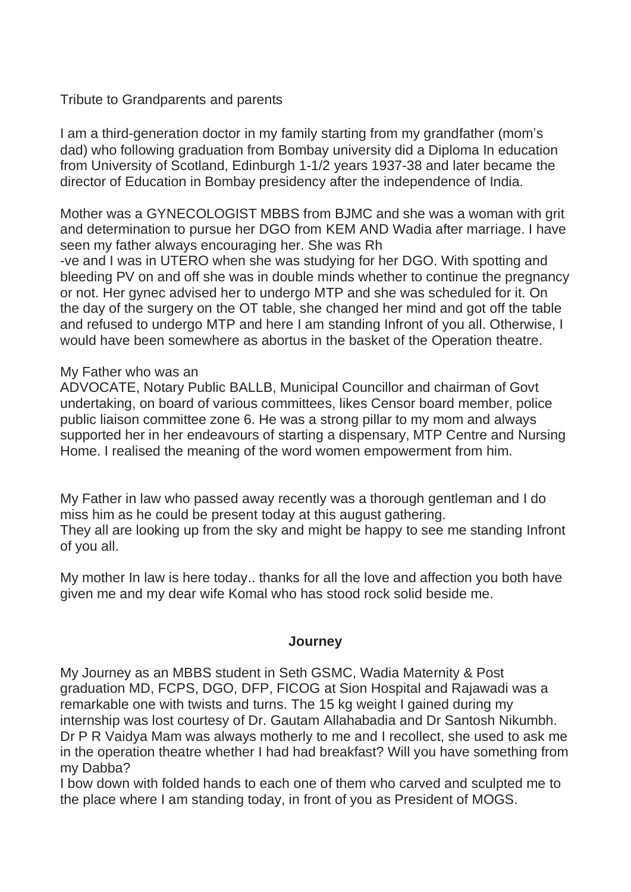## Tribute to Grandparents and parents

I am a third-generation doctor in my family starting from my grandfather (mom's dad) who following graduation from Bombay university did a Diploma In education from University of Scotland, Edinburgh 1-1/2 years 1937-38 and later became the director of Education in Bombay presidency after the independence of India.

Mother was a GYNECOLOGIST MBBS from BJMC and she was a woman with grit and determination to pursue her DGO from KEM AND Wadia after marriage. I have seen my father always encouraging her. She was Rh

-ve and I was in UTERO when she was studying for her DGO. With spotting and bleeding PV on and off she was in double minds whether to continue the pregnancy or not. Her gynec advised her to undergo MTP and she was scheduled for it. On the day of the surgery on the OT table, she changed her mind and got off the table and refused to undergo MTP and here I am standing Infront of you all. Otherwise, I would have been somewhere as abortus in the basket of the Operation theatre.

#### My Father who was an

ADVOCATE, Notary Public BALLB, Municipal Councillor and chairman of Govt undertaking, on board of various committees, likes Censor board member, police public liaison committee zone 6. He was a strong pillar to my mom and always supported her in her endeavours of starting a dispensary, MTP Centre and Nursing Home. I realised the meaning of the word women empowerment from him.

My Father in law who passed away recently was a thorough gentleman and I do miss him as he could be present today at this august gathering. They all are looking up from the sky and might be happy to see me standing Infront of you all.

My mother In law is here today.. thanks for all the love and affection you both have given me and my dear wife Komal who has stood rock solid beside me.

#### **Journey**

My Journey as an MBBS student in Seth GSMC, Wadia Maternity & Post graduation MD, FCPS, DGO, DFP, FICOG at Sion Hospital and Rajawadi was a remarkable one with twists and turns. The 15 kg weight I gained during my internship was lost courtesy of Dr. Gautam Allahabadia and Dr Santosh Nikumbh. Dr P R Vaidya Mam was always motherly to me and I recollect, she used to ask me in the operation theatre whether I had had breakfast? Will you have something from my Dabba?

I bow down with folded hands to each one of them who carved and sculpted me to the place where I am standing today, in front of you as President of MOGS.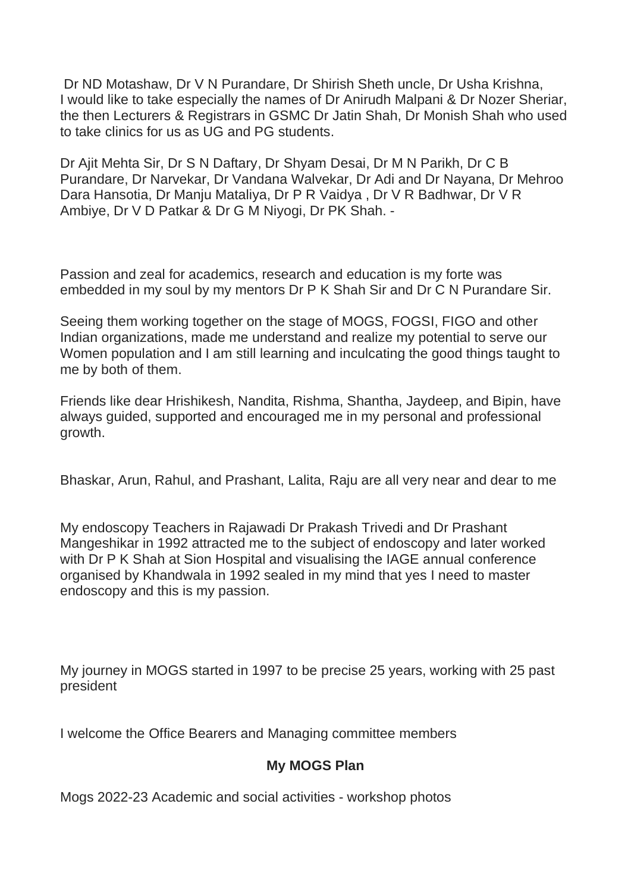Dr ND Motashaw, Dr V N Purandare, Dr Shirish Sheth uncle, Dr Usha Krishna, I would like to take especially the names of Dr Anirudh Malpani & Dr Nozer Sheriar, the then Lecturers & Registrars in GSMC Dr Jatin Shah, Dr Monish Shah who used to take clinics for us as UG and PG students.

Dr Ajit Mehta Sir, Dr S N Daftary, Dr Shyam Desai, Dr M N Parikh, Dr C B Purandare, Dr Narvekar, Dr Vandana Walvekar, Dr Adi and Dr Nayana, Dr Mehroo Dara Hansotia, Dr Manju Mataliya, Dr P R Vaidya , Dr V R Badhwar, Dr V R Ambiye, Dr V D Patkar & Dr G M Niyogi, Dr PK Shah. -

Passion and zeal for academics, research and education is my forte was embedded in my soul by my mentors Dr P K Shah Sir and Dr C N Purandare Sir.

Seeing them working together on the stage of MOGS, FOGSI, FIGO and other Indian organizations, made me understand and realize my potential to serve our Women population and I am still learning and inculcating the good things taught to me by both of them.

Friends like dear Hrishikesh, Nandita, Rishma, Shantha, Jaydeep, and Bipin, have always guided, supported and encouraged me in my personal and professional growth.

Bhaskar, Arun, Rahul, and Prashant, Lalita, Raju are all very near and dear to me

My endoscopy Teachers in Rajawadi Dr Prakash Trivedi and Dr Prashant Mangeshikar in 1992 attracted me to the subject of endoscopy and later worked with Dr P K Shah at Sion Hospital and visualising the IAGE annual conference organised by Khandwala in 1992 sealed in my mind that yes I need to master endoscopy and this is my passion.

My journey in MOGS started in 1997 to be precise 25 years, working with 25 past president

I welcome the Office Bearers and Managing committee members

# **My MOGS Plan**

Mogs 2022-23 Academic and social activities - workshop photos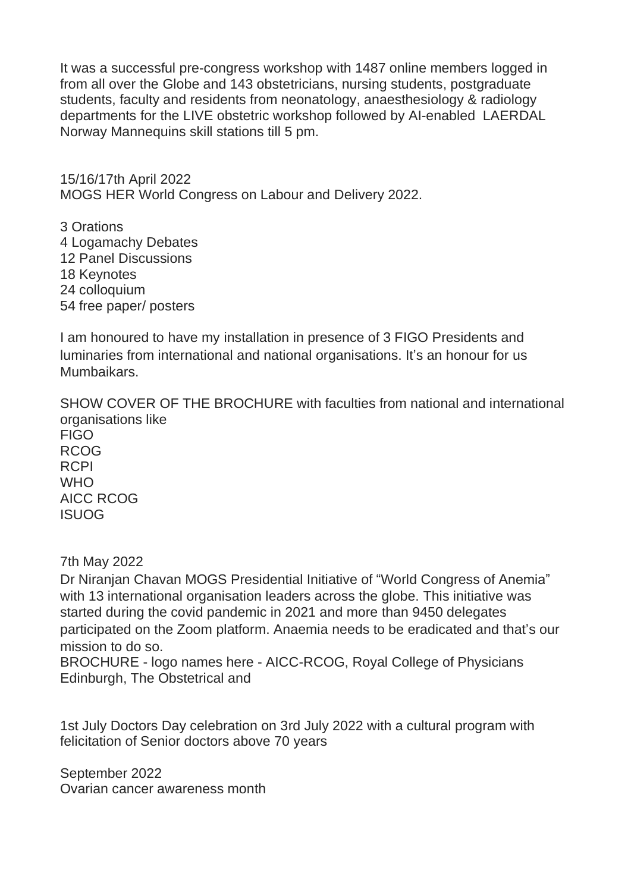It was a successful pre-congress workshop with 1487 online members logged in from all over the Globe and 143 obstetricians, nursing students, postgraduate students, faculty and residents from neonatology, anaesthesiology & radiology departments for the LIVE obstetric workshop followed by AI-enabled LAERDAL Norway Mannequins skill stations till 5 pm.

15/16/17th April 2022 MOGS HER World Congress on Labour and Delivery 2022.

3 Orations Logamachy Debates Panel Discussions 18 Keynotes colloquium free paper/ posters

I am honoured to have my installation in presence of 3 FIGO Presidents and luminaries from international and national organisations. It's an honour for us Mumbaikars.

SHOW COVER OF THE BROCHURE with faculties from national and international organisations like **FIGO** RCOG RCPI WHO<sub>1</sub> AICC RCOG ISUOG

7th May 2022

Dr Niranjan Chavan MOGS Presidential Initiative of "World Congress of Anemia" with 13 international organisation leaders across the globe. This initiative was started during the covid pandemic in 2021 and more than 9450 delegates participated on the Zoom platform. Anaemia needs to be eradicated and that's our mission to do so.

BROCHURE - logo names here - AICC-RCOG, Royal College of Physicians Edinburgh, The Obstetrical and

1st July Doctors Day celebration on 3rd July 2022 with a cultural program with felicitation of Senior doctors above 70 years

September 2022 Ovarian cancer awareness month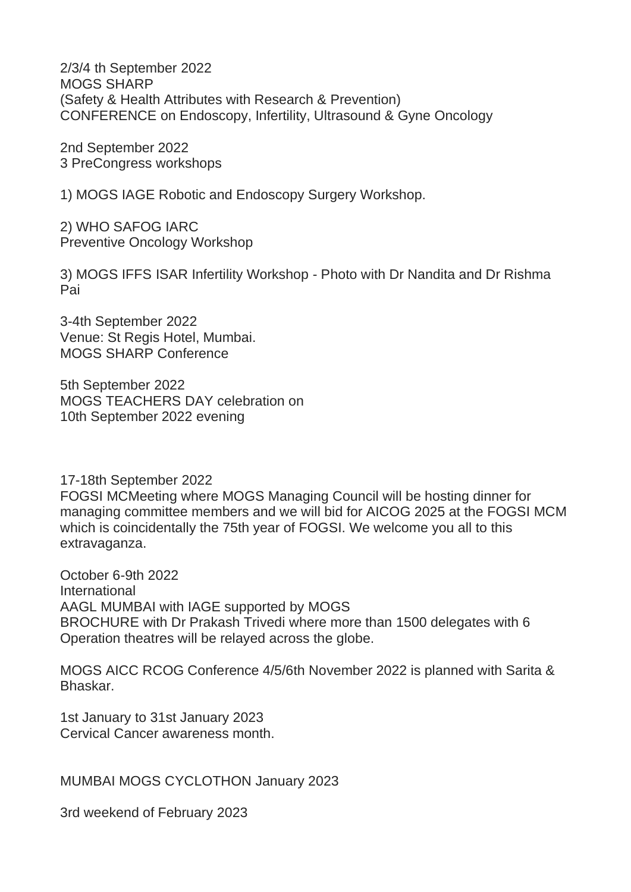2/3/4 th September 2022 MOGS SHARP (Safety & Health Attributes with Research & Prevention) CONFERENCE on Endoscopy, Infertility, Ultrasound & Gyne Oncology

2nd September 2022 3 PreCongress workshops

1) MOGS IAGE Robotic and Endoscopy Surgery Workshop.

2) WHO SAFOG IARC Preventive Oncology Workshop

3) MOGS IFFS ISAR Infertility Workshop - Photo with Dr Nandita and Dr Rishma Pai

3-4th September 2022 Venue: St Regis Hotel, Mumbai. MOGS SHARP Conference

5th September 2022 MOGS TEACHERS DAY celebration on 10th September 2022 evening

17-18th September 2022 FOGSI MCMeeting where MOGS Managing Council will be hosting dinner for managing committee members and we will bid for AICOG 2025 at the FOGSI MCM which is coincidentally the 75th year of FOGSI. We welcome you all to this extravaganza.

October 6-9th 2022 International AAGL MUMBAI with IAGE supported by MOGS BROCHURE with Dr Prakash Trivedi where more than 1500 delegates with 6 Operation theatres will be relayed across the globe.

MOGS AICC RCOG Conference 4/5/6th November 2022 is planned with Sarita & Bhaskar.

1st January to 31st January 2023 Cervical Cancer awareness month.

MUMBAI MOGS CYCLOTHON January 2023

3rd weekend of February 2023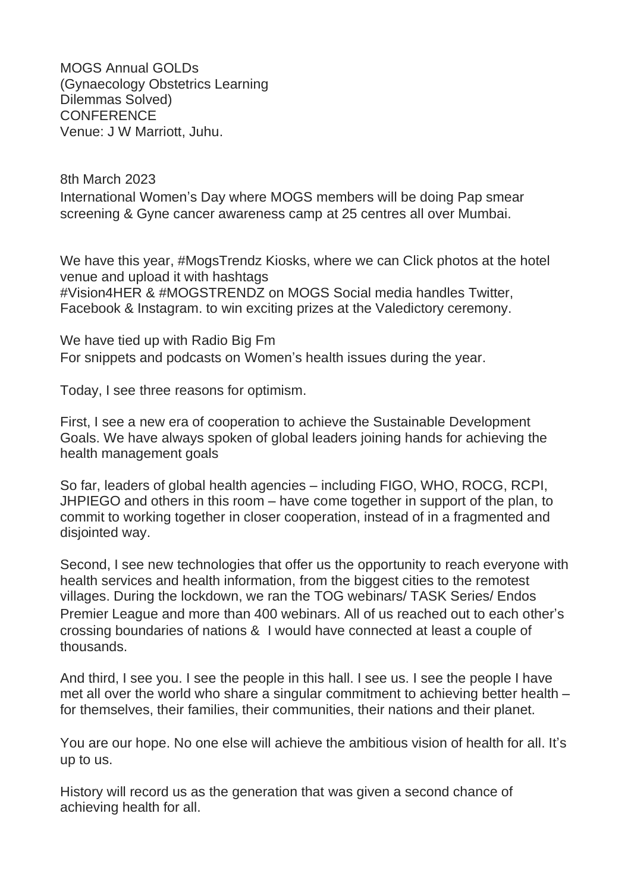MOGS Annual GOLDs (Gynaecology Obstetrics Learning Dilemmas Solved) **CONFERENCE** Venue: J W Marriott, Juhu.

8th March 2023 International Women's Day where MOGS members will be doing Pap smear screening & Gyne cancer awareness camp at 25 centres all over Mumbai.

We have this year, #MogsTrendz Kiosks, where we can Click photos at the hotel venue and upload it with hashtags #Vision4HER & #MOGSTRENDZ on MOGS Social media handles Twitter, Facebook & Instagram. to win exciting prizes at the Valedictory ceremony.

We have tied up with Radio Big Fm For snippets and podcasts on Women's health issues during the year.

Today, I see three reasons for optimism.

First, I see a new era of cooperation to achieve the Sustainable Development Goals. We have always spoken of global leaders joining hands for achieving the health management goals

So far, leaders of global health agencies – including FIGO, WHO, ROCG, RCPI, JHPIEGO and others in this room – have come together in support of the plan, to commit to working together in closer cooperation, instead of in a fragmented and disjointed way.

Second, I see new technologies that offer us the opportunity to reach everyone with health services and health information, from the biggest cities to the remotest villages. During the lockdown, we ran the TOG webinars/ TASK Series/ Endos Premier League and more than 400 webinars. All of us reached out to each other's crossing boundaries of nations & I would have connected at least a couple of thousands.

And third, I see you. I see the people in this hall. I see us. I see the people I have met all over the world who share a singular commitment to achieving better health – for themselves, their families, their communities, their nations and their planet.

You are our hope. No one else will achieve the ambitious vision of health for all. It's up to us.

History will record us as the generation that was given a second chance of achieving health for all.